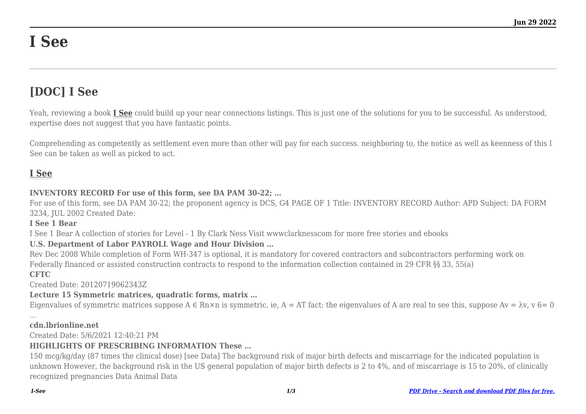# **I See**

## **[DOC] I See**

Yeah, reviewing a book **[I See](http://goldwoodgardens.com)** could build up your near connections listings. This is just one of the solutions for you to be successful. As understood, expertise does not suggest that you have fantastic points.

Comprehending as competently as settlement even more than other will pay for each success. neighboring to, the notice as well as keenness of this I See can be taken as well as picked to act.

### **[I See](http://goldwoodgardens.com/I-See.pdf)**

#### **INVENTORY RECORD For use of this form, see DA PAM 30-22; …**

For use of this form, see DA PAM 30-22; the proponent agency is DCS, G4 PAGE OF 1 Title: INVENTORY RECORD Author: APD Subject: DA FORM 3234, JUL 2002 Created Date:

#### **I See 1 Bear**

I See 1 Bear A collection of stories for Level - 1 By Clark Ness Visit wwwclarknesscom for more free stories and ebooks

#### **U.S. Department of Labor PAYROLL Wage and Hour Division …**

Rev Dec 2008 While completion of Form WH-347 is optional, it is mandatory for covered contractors and subcontractors performing work on Federally financed or assisted construction contracts to respond to the information collection contained in 29 CFR §§ 33, 55(a) **CFTC**

Created Date: 20120719062343Z

#### **Lecture 15 Symmetric matrices, quadratic forms, matrix …**

Eigenvalues of symmetric matrices suppose  $A \in Rn \times n$  is symmetric, ie,  $A = AT$  fact: the eigenvalues of A are real to see this, suppose  $Av = \lambda v$ ,  $v = 0$ 

…

#### **cdn.lbrionline.net**

Created Date: 5/6/2021 12:40:21 PM

#### **HIGHLIGHTS OF PRESCRIBING INFORMATION These …**

150 mcg/kg/day (87 times the clinical dose) [see Data] The background risk of major birth defects and miscarriage for the indicated population is unknown However, the background risk in the US general population of major birth defects is 2 to 4%, and of miscarriage is 15 to 20%, of clinically recognized pregnancies Data Animal Data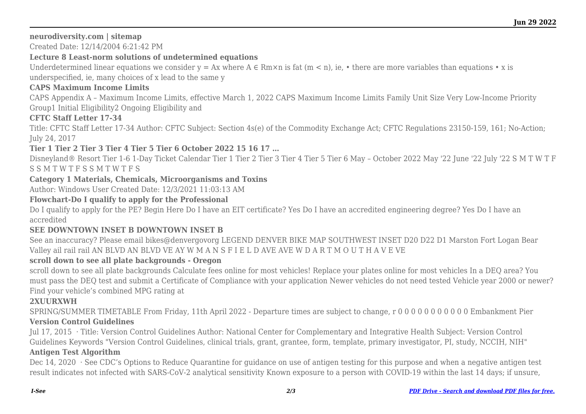#### **neurodiversity.com | sitemap**

Created Date: 12/14/2004 6:21:42 PM

#### **Lecture 8 Least-norm solutions of undetermined equations**

Underdetermined linear equations we consider  $y = Ax$  where  $A \in Rm \times n$  is fat  $(m < n)$ , ie, • there are more variables than equations • x is

underspecified, ie, many choices of x lead to the same y

#### **CAPS Maximum Income Limits**

CAPS Appendix A – Maximum Income Limits, effective March 1, 2022 CAPS Maximum Income Limits Family Unit Size Very Low-Income Priority Group1 Initial Eligibility2 Ongoing Eligibility and

#### **CFTC Staff Letter 17-34**

Title: CFTC Staff Letter 17-34 Author: CFTC Subject: Section 4s(e) of the Commodity Exchange Act; CFTC Regulations 23150-159, 161; No-Action; July 24, 2017

#### **Tier 1 Tier 2 Tier 3 Tier 4 Tier 5 Tier 6 October 2022 15 16 17 …**

Disneyland® Resort Tier 1-6 1-Day Ticket Calendar Tier 1 Tier 2 Tier 3 Tier 4 Tier 5 Tier 6 May – October 2022 May '22 June '22 July '22 S M T W T F S S M T W T F S S M T W T F S

#### **Category 1 Materials, Chemicals, Microorganisms and Toxins**

Author: Windows User Created Date: 12/3/2021 11:03:13 AM

#### **Flowchart-Do I qualify to apply for the Professional**

Do I qualify to apply for the PE? Begin Here Do I have an EIT certificate? Yes Do I have an accredited engineering degree? Yes Do I have an accredited

#### **SEE DOWNTOWN INSET B DOWNTOWN INSET B**

See an inaccuracy? Please email bikes@denvergovorg LEGEND DENVER BIKE MAP SOUTHWEST INSET D20 D22 D1 Marston Fort Logan Bear Valley ail rail rail AN BLVD AN BLVD VE AY W M A N S F I E L D AVE AVE W D A R T M O U T H A V E VE

#### **scroll down to see all plate backgrounds - Oregon**

scroll down to see all plate backgrounds Calculate fees online for most vehicles! Replace your plates online for most vehicles In a DEQ area? You must pass the DEQ test and submit a Certificate of Compliance with your application Newer vehicles do not need tested Vehicle year 2000 or newer? Find your vehicle's combined MPG rating at

#### **2XUURXWH**

SPRING/SUMMER TIMETABLE From Friday, 11th April 2022 - Departure times are subject to change, r 0 0 0 0 0 0 0 0 0 0 0 Embankment Pier **Version Control Guidelines**

Jul 17, 2015 · Title: Version Control Guidelines Author: National Center for Complementary and Integrative Health Subject: Version Control Guidelines Keywords "Version Control Guidelines, clinical trials, grant, grantee, form, template, primary investigator, PI, study, NCCIH, NIH"

#### **Antigen Test Algorithm**

Dec 14, 2020 · See CDC's Options to Reduce Quarantine for guidance on use of antigen testing for this purpose and when a negative antigen test result indicates not infected with SARS-CoV-2 analytical sensitivity Known exposure to a person with COVID-19 within the last 14 days; if unsure,